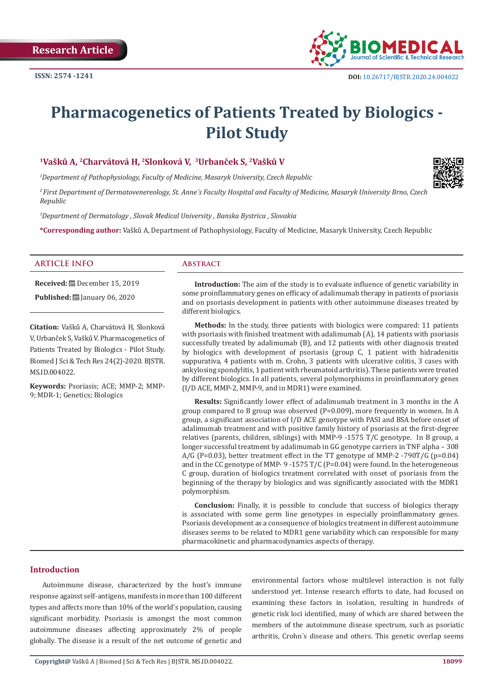

# **Pharmacogenetics of Patients Treated by Biologics - Pilot Study**

### **<sup>1</sup>Vašků A, <sup>2</sup>Charvátová H, <sup>2</sup>Slonková V, <sup>3</sup>Urbanček S, <sup>2</sup>Vašků V**

*1 Department of Pathophysiology, Faculty of Medicine, Masaryk University, Czech Republic*

*2 First Department of Dermatovenereology, St. Anne´s Faculty Hospital and Faculty of Medicine, Masaryk University Brno, Czech Republic* 

*3 Department of Dermatology , Slovak Medical University , Banska Bystrica , Slovakia* 

**\*Corresponding author:** Vašků A, Department of Pathophysiology, Faculty of Medicine, Masaryk University, Czech Republic

#### **ARTICLE INFO Abstract**

**Received:** December 15, 2019

**Published:** ■ January 06, 2020

**Citation:** Vašků A, Charvátová H, Slonková V, Urbanček S, Vašků V. Pharmacogenetics of Patients Treated by Biologics - Pilot Study. Biomed J Sci & Tech Res 24(2)-2020. BJSTR. MS.ID.004022.

**Keywords:** Psoriasis; ACE; MMP-2; MMP-9; MDR-1; Genetics; Biologics

**Introduction:** The aim of the study is to evaluate influence of genetic variability in some proinflammatory genes on efficacy of adalimumab therapy in patients of psoriasis and on psoriasis development in patients with other autoimmune diseases treated by different biologics.

**Methods:** In the study, three patients with biologics were compared: 11 patients with psoriasis with finished treatment with adalimumab (A), 14 patients with psoriasis successfully treated by adalimumab (B), and 12 patients with other diagnosis treated by biologics with development of psoriasis (group C, 1 patient with hidradenitis suppurativa, 4 patients with m. Crohn, 3 patients with ulcerative colitis, 3 cases with ankylosing spondylitis, 1 patient with rheumatoid arthritis). These patients were treated by different biologics. In all patients, several polymorphisms in proinflammatory genes (I/D ACE, MMP-2, MMP-9, and in MDR1) were examined.

**Results:** Significantly lower effect of adalimumab treatment in 3 months in the A group compared to B group was observed (P=0.009), more frequently in women. In A group, a significant association of I/D ACE genotype with PASI and BSA before onset of adalimumab treatment and with positive family history of psoriasis at the first-degree relatives (parents, children, siblings) with MMP-9 -1575 T/C genotype. In B group, a longer successful treatment by adalimumab in GG genotype carriers in TNF alpha – 308  $A/G$  (P=0.03), better treatment effect in the TT genotype of MMP-2 -790T/G (p=0.04) and in the CC genotype of MMP- 9-1575 T/C (P=0.04) were found. In the heterogeneous C group, duration of biologics treatment correlated with onset of psoriasis from the beginning of the therapy by biologics and was significantly associated with the MDR1 polymorphism.

**Conclusion:** Finally, it is possible to conclude that success of biologics therapy is associated with some germ line genotypes in especially proinflammatory genes. Psoriasis development as a consequence of biologics treatment in different autoimmune diseases seems to be related to MDR1 gene variability which can responsible for many pharmacokinetic and pharmacodynamics aspects of therapy.

## **Introduction**

Autoimmune disease, characterized by the host's immune response against self-antigens, manifests in more than 100 different types and affects more than 10% of the world's population, causing significant morbidity. Psoriasis is amongst the most common autoimmune diseases affecting approximately 2% of people globally. The disease is a result of the net outcome of genetic and environmental factors whose multilevel interaction is not fully understood yet. Intense research efforts to date, had focused on examining these factors in isolation, resulting in hundreds of genetic risk loci identified, many of which are shared between the members of the autoimmune disease spectrum, such as psoriatic arthritis, Crohn´s disease and others. This genetic overlap seems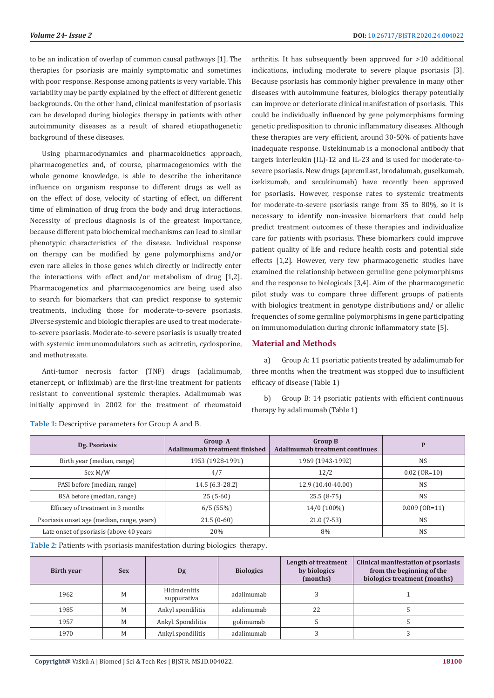to be an indication of overlap of common causal pathways [1]. The therapies for psoriasis are mainly symptomatic and sometimes with poor response. Response among patients is very variable. This variability may be partly explained by the effect of different genetic backgrounds. On the other hand, clinical manifestation of psoriasis can be developed during biologics therapy in patients with other autoimmunity diseases as a result of shared etiopathogenetic background of these diseases.

Using pharmacodynamics and pharmacokinetics approach, pharmacogenetics and, of course, pharmacogenomics with the whole genome knowledge, is able to describe the inheritance influence on organism response to different drugs as well as on the effect of dose, velocity of starting of effect, on different time of elimination of drug from the body and drug interactions. Necessity of precious diagnosis is of the greatest importance, because different pato biochemical mechanisms can lead to similar phenotypic characteristics of the disease. Individual response on therapy can be modified by gene polymorphisms and/or even rare alleles in those genes which directly or indirectly enter the interactions with effect and/or metabolism of drug [1,2]. Pharmacogenetics and pharmacogenomics are being used also to search for biomarkers that can predict response to systemic treatments, including those for moderate-to-severe psoriasis. Diverse systemic and biologic therapies are used to treat moderateto-severe psoriasis. Moderate-to-severe psoriasis is usually treated with systemic immunomodulators such as acitretin, cyclosporine, and methotrexate.

Anti-tumor necrosis factor (TNF) drugs (adalimumab, etanercept, or infliximab) are the first-line treatment for patients resistant to conventional systemic therapies. Adalimumab was initially approved in 2002 for the treatment of rheumatoid

arthritis. It has subsequently been approved for >10 additional indications, including moderate to severe plaque psoriasis [3]. Because psoriasis has commonly higher prevalence in many other diseases with autoimmune features, biologics therapy potentially can improve or deteriorate clinical manifestation of psoriasis. This could be individually influenced by gene polymorphisms forming genetic predisposition to chronic inflammatory diseases. Although these therapies are very efficient, around 30-50% of patients have inadequate response. Ustekinumab is a monoclonal antibody that targets interleukin (IL)-12 and IL-23 and is used for moderate-tosevere psoriasis. New drugs (apremilast, brodalumab, guselkumab, ixekizumab, and secukinumab) have recently been approved for psoriasis. However, response rates to systemic treatments for moderate-to-severe psoriasis range from 35 to 80%, so it is necessary to identify non-invasive biomarkers that could help predict treatment outcomes of these therapies and individualize care for patients with psoriasis. These biomarkers could improve patient quality of life and reduce health costs and potential side effects [1,2]. However, very few pharmacogenetic studies have examined the relationship between germline gene polymorphisms and the response to biologicals [3,4]. Aim of the pharmacogenetic pilot study was to compare three different groups of patients with biologics treatment in genotype distributions and/ or allelic frequencies of some germline polymorphisms in gene participating on immunomodulation during chronic inflammatory state [5].

#### **Material and Methods**

a) Group A: 11 psoriatic patients treated by adalimumab for three months when the treatment was stopped due to insufficient efficacy of disease (Table 1)

b) Group B: 14 psoriatic patients with efficient continuous therapy by adalimumab (Table 1)

| Dg. Psoriasis                              | Group A<br>Adalimumab treatment finished | <b>Group B</b><br><b>Adalimumab treatment continues</b> |                 |
|--------------------------------------------|------------------------------------------|---------------------------------------------------------|-----------------|
| Birth year (median, range)                 | 1953 (1928-1991)                         | 1969 (1943-1992)                                        | <b>NS</b>       |
| Sex M/W                                    | 4/7                                      | 12/2                                                    | $0.02$ (OR=10)  |
| PASI before (median, range)                | 14.5 (6.3-28.2)                          | 12.9 (10.40-40.00)                                      | <b>NS</b>       |
| BSA before (median, range)                 | $25(5-60)$                               | $25.5(8-75)$                                            | <b>NS</b>       |
| Efficacy of treatment in 3 months          | 6/5(55%)                                 | 14/0 (100%)                                             | $0.009$ (OR=11) |
| Psoriasis onset age (median, range, years) | $21.5(0-60)$                             | $21.0(7-53)$                                            | <b>NS</b>       |
| Late onset of psoriasis (above 40 years    | 20%                                      | 8%                                                      | <b>NS</b>       |

**Table 1:** Descriptive parameters for Group A and B.

**Table 2:** Patients with psoriasis manifestation during biologics therapy.

| <b>Birth year</b> | <b>Sex</b> | Dg                          | <b>Biologics</b> | Length of treatment<br>by biologics<br>(months) | Clinical manifestation of psoriasis<br>from the beginning of the<br>biologics treatment (months) |
|-------------------|------------|-----------------------------|------------------|-------------------------------------------------|--------------------------------------------------------------------------------------------------|
| 1962              | M          | Hidradenitis<br>suppurativa | adalimumab       |                                                 |                                                                                                  |
| 1985              | M          | Ankyl spondilitis           | adalimumab       | 22                                              |                                                                                                  |
| 1957              | M          | Ankyl. Spondilitis          | golimumab        |                                                 |                                                                                                  |
| 1970              | M          | Ankyl.spondilitis           | adalimumab       |                                                 |                                                                                                  |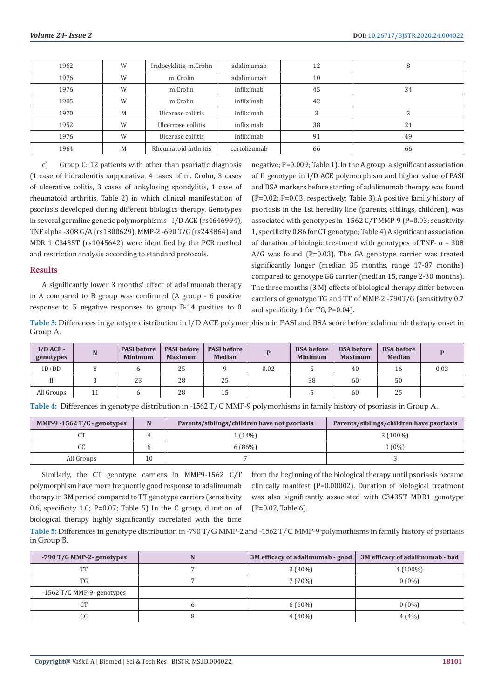| 1962 | W | Iridocyklitis, m.Crohn | adalimumab   | 12 |    |
|------|---|------------------------|--------------|----|----|
| 1976 | W | m. Crohn<br>adalimumab |              | 10 |    |
| 1976 | W | m.Crohn                | infliximab   | 45 | 34 |
| 1985 | W | m.Crohn                | infliximab   | 42 |    |
| 1970 | M | Ulcerose collitis      | infliximab   |    |    |
| 1952 | W | Ulcerrose collitis     | infliximab   | 38 | 21 |
| 1976 | W | Ulcerose collitis      | infliximab   | 91 | 49 |
| 1964 | M | Rheumatoid arthritis   | certolizumab | 66 | 66 |

c) Group C: 12 patients with other than psoriatic diagnosis (1 case of hidradenitis suppurativa, 4 cases of m. Crohn, 3 cases of ulcerative colitis, 3 cases of ankylosing spondylitis, 1 case of rheumatoid arthritis, Table 2) in which clinical manifestation of psoriasis developed during different biologics therapy. Genotypes in several germline genetic polymorphisms - I/D ACE (rs4646994), TNF alpha -308 G/A (rs1800629), MMP-2 -690 T/G (rs243864) and MDR 1 C3435T (rs1045642) were identified by the PCR method and restriction analysis according to standard protocols.

#### **Results**

A significantly lower 3 months' effect of adalimumab therapy in A compared to B group was confirmed (A group - 6 positive response to 5 negative responses to group B-14 positive to 0 negative; P=0.009; Table 1). In the A group, a significant association of II genotype in I/D ACE polymorphism and higher value of PASI and BSA markers before starting of adalimumab therapy was found (P=0.02; P=0.03, respectively; Table 3).A positive family history of psoriasis in the 1st heredity line (parents, siblings, children), was associated with genotypes in -1562 C/T MMP-9 (P=0.03; sensitivity 1, specificity 0.86 for CT genotype; Table 4) A significant association of duration of biologic treatment with genotypes of TNF- α – 308 A/G was found (P=0.03). The GA genotype carrier was treated significantly longer (median 35 months, range 17-87 months) compared to genotype GG carrier (median 15, range 2-30 months). The three months (3 M) effects of biological therapy differ between carriers of genotype TG and TT of MMP-2 -790T/G (sensitivity 0.7 and specificity 1 for TG, P=0.04).

**Table 3:** Differences in genotype distribution in I/D ACE polymorphism in PASI and BSA score before adalimumb therapy onset in Group A.

| $I/D$ ACE -<br>genotypes | N  | <b>PASI</b> before<br><b>Minimum</b> | <b>PASI</b> before<br><b>Maximum</b> | <b>PASI</b> before<br><b>Median</b> |      | <b>BSA</b> before<br><b>Minimum</b> | <b>BSA</b> before<br><b>Maximum</b> | <b>BSA</b> before<br><b>Median</b> |      |
|--------------------------|----|--------------------------------------|--------------------------------------|-------------------------------------|------|-------------------------------------|-------------------------------------|------------------------------------|------|
| $ID + DD$                |    |                                      | 25                                   |                                     | 0.02 |                                     | 40                                  | 16                                 | 0.03 |
|                          |    | 23                                   | 28                                   | 25                                  |      | 38                                  | 60                                  | 50                                 |      |
| All Groups               | 11 |                                      | 28                                   | 15                                  |      |                                     | 60                                  | 25                                 |      |

**Table 4:** Differences in genotype distribution in -1562 T/C MMP-9 polymorhisms in family history of psoriasis in Group A.

| MMP-9 -1562 $T/C$ - genotypes | N  | Parents/siblings/children have not psoriasis | Parents/siblings/children have psoriasis |
|-------------------------------|----|----------------------------------------------|------------------------------------------|
|                               |    | l (14%)                                      | $3(100\%)$                               |
| U.U.                          |    | 6 (86%)                                      | $0(0\%)$                                 |
| All Groups                    | 10 |                                              |                                          |

Similarly, the CT genotype carriers in MMP9-1562 C/T polymorphism have more frequently good response to adalimumab therapy in 3M period compared to TT genotype carriers (sensitivity 0.6, specificity 1.0; P=0.07; Table 5) In the C group, duration of biological therapy highly significantly correlated with the time

from the beginning of the biological therapy until psoriasis became clinically manifest (P=0.00002). Duration of biological treatment was also significantly associated with C3435T MDR1 genotype (P=0.02, Table 6).

**Table 5:** Differences in genotype distribution in -790 T/G MMP-2 and -1562 T/C MMP-9 polymorhisms in family history of psoriasis in Group B.

| $-790$ T/G MMP-2- genotypes  | 3M efficacy of adalimumab - good | 3M efficacy of adalimumab - bad |  |
|------------------------------|----------------------------------|---------------------------------|--|
| <b>THP</b>                   | $3(30\%)$                        | $4(100\%)$                      |  |
| TG.                          | 7(70%)                           | $0(0\%)$                        |  |
| $-1562$ T/C MMP-9- genotypes |                                  |                                 |  |
| $\sqrt{ }$<br>UΙ             | $6(60\%)$                        | $0(0\%)$                        |  |
| CC                           | $4(40\%)$                        | 4(4%)                           |  |